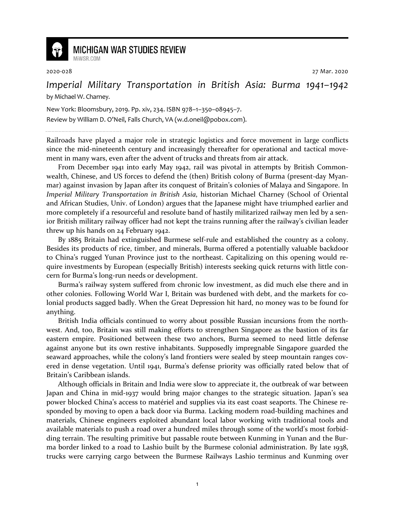

## **MICHIGAN WAR STUDIES REVIEW**

MiWSR COM

2020-028 27 Mar. 2020

## *Imperial Military Transportation in British Asia: Burma 1941–1942* by Michael W. Charney.

New York: Bloomsbury, 2019. Pp. xiv, 234. ISBN 978–1–350–08945–7. Review by William D. O'Neil, Falls Church, VA (w.d.oneil@pobox.com).

Railroads have played a major role in strategic logistics and force movement in large conflicts since the mid-nineteenth century and increasingly thereafter for operational and tactical movement in many wars, even after the advent of trucks and threats from air attack.

From December 1941 into early May 1942, rail was pivotal in attempts by British Commonwealth, Chinese, and US forces to defend the (then) British colony of Burma (present-day Myanmar) against invasion by Japan after its conquest of Britain's colonies of Malaya and Singapore. In *Imperial Military Transportation in British Asia*, historian Michael Charney (School of Oriental and African Studies, Univ. of London) argues that the Japanese might have triumphed earlier and more completely if a resourceful and resolute band of hastily militarized railway men led by a senior British military railway officer had not kept the trains running after the railway's civilian leader threw up his hands on 24 February 1942.

By 1885 Britain had extinguished Burmese self-rule and established the country as a colony. Besides its products of rice, timber, and minerals, Burma offered a potentially valuable backdoor to China's rugged Yunan Province just to the northeast. Capitalizing on this opening would require investments by European (especially British) interests seeking quick returns with little concern for Burma's long-run needs or development.

Burma's railway system suffered from chronic low investment, as did much else there and in other colonies. Following World War I, Britain was burdened with debt, and the markets for colonial products sagged badly. When the Great Depression hit hard, no money was to be found for anything.

British India officials continued to worry about possible Russian incursions from the northwest. And, too, Britain was still making efforts to strengthen Singapore as the bastion of its far eastern empire. Positioned between these two anchors, Burma seemed to need little defense against anyone but its own restive inhabitants. Supposedly impregnable Singapore guarded the seaward approaches, while the colony's land frontiers were sealed by steep mountain ranges covered in dense vegetation. Until 1941, Burma's defense priority was officially rated below that of Britain's Caribbean islands.

Although officials in Britain and India were slow to appreciate it, the outbreak of war between Japan and China in mid-1937 would bring major changes to the strategic situation. Japan's sea power blocked China's access to matériel and supplies via its east coast seaports. The Chinese responded by moving to open a back door via Burma. Lacking modern road-building machines and materials, Chinese engineers exploited abundant local labor working with traditional tools and available materials to push a road over a hundred miles through some of the world's most forbidding terrain. The resulting primitive but passable route between Kunming in Yunan and the Burma border linked to a road to Lashio built by the Burmese colonial administration. By late 1938, trucks were carrying cargo between the Burmese Railways Lashio terminus and Kunming over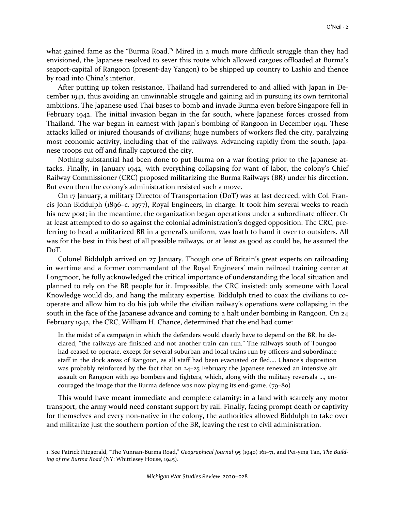what gained fame as the "Burma Road."<sup>1</sup> Mired in a much more difficult struggle than they had envisioned, the Japanese resolved to sever this route which allowed cargoes offloaded at Burma's seaport-capital of Rangoon (present-day Yangon) to be shipped up country to Lashio and thence by road into China's interior.

After putting up token resistance, Thailand had surrendered to and allied with Japan in December 1941, thus avoiding an unwinnable struggle and gaining aid in pursuing its own territorial ambitions. The Japanese used Thai bases to bomb and invade Burma even before Singapore fell in February 1942. The initial invasion began in the far south, where Japanese forces crossed from Thailand. The war began in earnest with Japan's bombing of Rangoon in December 1941. These attacks killed or injured thousands of civilians; huge numbers of workers fled the city, paralyzing most economic activity, including that of the railways. Advancing rapidly from the south, Japanese troops cut off and finally captured the city.

Nothing substantial had been done to put Burma on a war footing prior to the Japanese attacks. Finally, in January 1942, with everything collapsing for want of labor, the colony's Chief Railway Commissioner (CRC) proposed militarizing the Burma Railways (BR) under his direction. But even then the colony's administration resisted such a move.

On 17 January, a military Director of Transportation (DoT) was at last decreed, with Col. Francis John Biddulph (1896–c. 1977), Royal Engineers, in charge. It took him several weeks to reach his new post; in the meantime, the organization began operations under a subordinate officer. Or at least attempted to do so against the colonial administration's dogged opposition. The CRC, preferring to head a militarized BR in a general's uniform, was loath to hand it over to outsiders. All was for the best in this best of all possible railways, or at least as good as could be, he assured the DoT.

Colonel Biddulph arrived on 27 January. Though one of Britain's great experts on railroading in wartime and a former commandant of the Royal Engineers' main railroad training center at Longmoor, he fully acknowledged the critical importance of understanding the local situation and planned to rely on the BR people for it. Impossible, the CRC insisted: only someone with Local Knowledge would do, and hang the military expertise. Biddulph tried to coax the civilians to cooperate and allow him to do his job while the civilian railway's operations were collapsing in the south in the face of the Japanese advance and coming to a halt under bombing in Rangoon. On 24 February 1942, the CRC, William H. Chance, determined that the end had come:

In the midst of a campaign in which the defenders would clearly have to depend on the BR, he declared, "the railways are finished and not another train can run." The railways south of Toungoo had ceased to operate, except for several suburban and local trains run by officers and subordinate staff in the dock areas of Rangoon, as all staff had been evacuated or fled…. Chance's disposition was probably reinforced by the fact that on 24–25 February the Japanese renewed an intensive air assault on Rangoon with 150 bombers and fighters, which, along with the military reversals …, encouraged the image that the Burma defence was now playing its end-game. (79–80)

This would have meant immediate and complete calamity: in a land with scarcely any motor transport, the army would need constant support by rail. Finally, facing prompt death or captivity for themselves and every non-native in the colony, the authorities allowed Biddulph to take over and militarize just the southern portion of the BR, leaving the rest to civil administration.

<sup>1.</sup> See Patrick Fitzgerald, "The Yunnan-Burma Road," *Geographical Journal* 95 (1940) 161–71, and Pei-ying Tan, *The Building of the Burma Road* (NY: Whittlesey House, 1945).